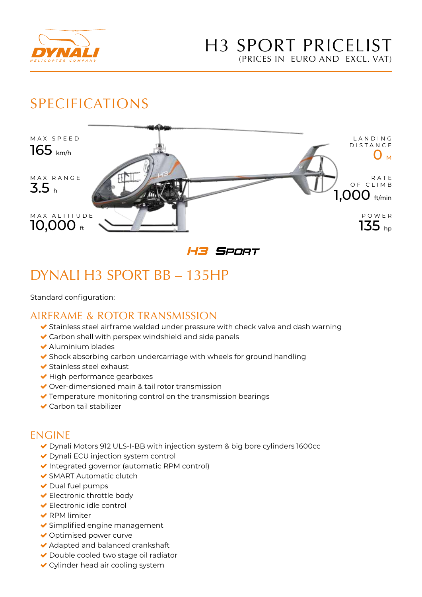

# SPECIFICATIONS



H3 SPORT

# DYNALI H3 SPORT BB – 135HP

Standard configuration:

### AIRFRAME & ROTOR TRANSMISSION

- Stainless steel airframe welded under pressure with check valve and dash warning
- Carbon shell with perspex windshield and side panels
- Aluminium blades
- ◆ Shock absorbing carbon undercarriage with wheels for ground handling
- $\blacktriangleright$  Stainless steel exhaust
- $\blacktriangleright$  High performance gearboxes
- ◆ Over-dimensioned main & tail rotor transmission
- Temperature monitoring control on the transmission bearings
- ◆ Carbon tail stabilizer

#### ENGINE

- Dynali Motors 912 ULS-I-BB with injection system & big bore cylinders 1600cc
- ◆ Dynali ECU injection system control
- $\blacktriangleright$  Integrated governor (automatic RPM control)
- SMART Automatic clutch
- $\blacktriangleright$  Dual fuel pumps
- **►** Electronic throttle body
- Electronic idle control
- ◆ RPM limiter
- Simplified engine management
- Optimised power curve
- Adapted and balanced crankshaft
- ◆ Double cooled two stage oil radiator
- Cylinder head air cooling system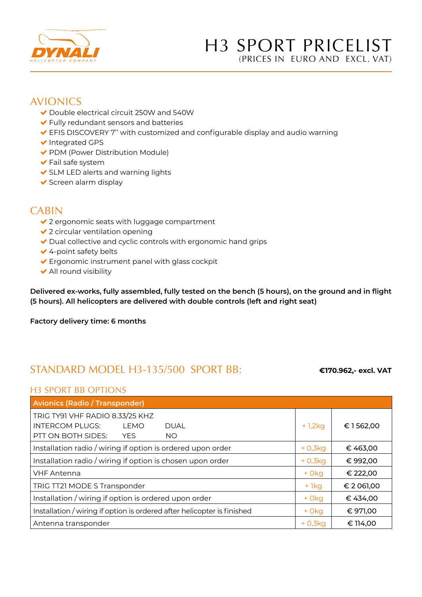

### H3 SPORT PRICELIST (PRICES IN EURO AND EXCL. VAT)

#### AVIONICS

- Double electrical circuit 250W and 540W
- Fully redundant sensors and batteries
- EFIS DISCOVERY 7'' with customized and configurable display and audio warning
- ◆ Integrated GPS
- ◆ PDM (Power Distribution Module)
- Fail safe system
- ◆ SLM LED alerts and warning lights
- $\blacktriangleright$  Screen alarm display

### CABIN

- ◆ 2 ergonomic seats with luggage compartment
- ◆ 2 circular ventilation opening
- Dual collective and cyclic controls with ergonomic hand grips
- ◆ 4-point safety belts
- ◆ Ergonomic instrument panel with glass cockpit
- $\blacktriangleright$  All round visibility

**Delivered ex-works, fully assembled, fully tested on the bench (5 hours), on the ground and in flight (5 hours). All helicopters are delivered with double controls (left and right seat)**

**Factory delivery time: 6 months** 

## STANDARD MODEL H3-135/500 SPORT BB: **€170.962,- excl. VAT**

#### H3 SPORT BB OPTIONS

| <b>Avionics (Radio / Transponder)</b>                                   |           |            |  |
|-------------------------------------------------------------------------|-----------|------------|--|
| TRIG TY91 VHF RADIO 8.33/25 KHZ                                         |           |            |  |
| <b>INTERCOM PLUGS:</b><br>LEMO<br><b>DUAL</b>                           | + 1,2kg   | €1562,00   |  |
| PTT ON BOTH SIDES:<br><b>YES</b><br><b>NO</b>                           |           |            |  |
| Installation radio / wiring if option is ordered upon order             | $+0,3kq$  | € 463,00   |  |
| Installation radio / wiring if option is chosen upon order              | $+0.3kq$  | € 992,00   |  |
| <b>VHF Antenna</b>                                                      | $+0kq$    | € 222,00   |  |
| TRIG TT21 MODE S Transponder                                            | + 1kg     | € 2 061,00 |  |
| Installation / wiring if option is ordered upon order                   | $+0kq$    | € 434,00   |  |
| Installation / wiring if option is ordered after helicopter is finished | $+0kq$    | € 971,00   |  |
| Antenna transponder                                                     | $+0.3k$ a | € 114,00   |  |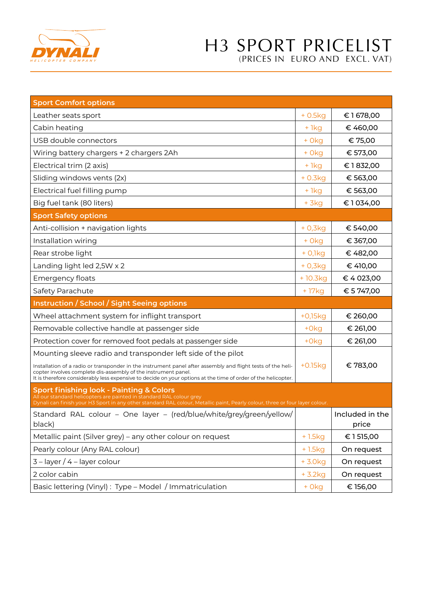

# H3 SPORT PRICELIST (PRICES IN EURO AND EXCL. VAT)

| <b>Sport Comfort options</b>                                                                                                                                                                                                                                                                                                                                      |              |                 |
|-------------------------------------------------------------------------------------------------------------------------------------------------------------------------------------------------------------------------------------------------------------------------------------------------------------------------------------------------------------------|--------------|-----------------|
| Leather seats sport                                                                                                                                                                                                                                                                                                                                               | $+0.5kg$     | €1678,00        |
| Cabin heating                                                                                                                                                                                                                                                                                                                                                     | $+1kg$       | € 460,00        |
| USB double connectors                                                                                                                                                                                                                                                                                                                                             | $+Okg$       | € 75,00         |
| Wiring battery chargers + 2 chargers 2Ah                                                                                                                                                                                                                                                                                                                          | $+Okg$       | € 573,00        |
| Electrical trim (2 axis)                                                                                                                                                                                                                                                                                                                                          | $+1kg$       | €1832,00        |
| Sliding windows vents (2x)                                                                                                                                                                                                                                                                                                                                        | $+0.3kg$     | € 563,00        |
| Electrical fuel filling pump                                                                                                                                                                                                                                                                                                                                      | $+1kg$       | € 563,00        |
| Big fuel tank (80 liters)                                                                                                                                                                                                                                                                                                                                         | $+$ 3 $kg$   | €1034,00        |
| <b>Sport Safety options</b>                                                                                                                                                                                                                                                                                                                                       |              |                 |
| Anti-collision + navigation lights                                                                                                                                                                                                                                                                                                                                | $+0,3kg$     | € 540,00        |
| Installation wiring                                                                                                                                                                                                                                                                                                                                               | $+0kq$       | € 367,00        |
| Rear strobe light                                                                                                                                                                                                                                                                                                                                                 | $+$ 0,1 $kg$ | € 482,00        |
| Landing light led 2,5W x 2                                                                                                                                                                                                                                                                                                                                        | $+0,3kg$     | € 410,00        |
| Emergency floats                                                                                                                                                                                                                                                                                                                                                  | +10.3kg      | € 4 023,00      |
| Safety Parachute                                                                                                                                                                                                                                                                                                                                                  | +17kg        | € 5 747,00      |
| <b>Instruction / School / Sight Seeing options</b>                                                                                                                                                                                                                                                                                                                |              |                 |
| Wheel attachment system for inflight transport                                                                                                                                                                                                                                                                                                                    | $+0,15kg$    | € 260,00        |
| Removable collective handle at passenger side                                                                                                                                                                                                                                                                                                                     | $+0kg$       | € 261,00        |
| Protection cover for removed foot pedals at passenger side                                                                                                                                                                                                                                                                                                        | $+Okg$       | € 261,00        |
| Mounting sleeve radio and transponder left side of the pilot                                                                                                                                                                                                                                                                                                      |              |                 |
| Installation of a radio or transponder in the instrument panel after assembly and flight tests of the heli-<br>copter involves complete dis-assembly of the instrument panel.                                                                                                                                                                                     | $+0.15kg$    | €783,00         |
| It is therefore considerably less expensive to decide on your options at the time of order of the helicopter.<br>Sport finishing look - Painting & Colors<br>All our standard helicopters are painted in standard RAL colour grey<br>Dynali can finish your H3 Sport in any other standard RAL colour, Metallic paint, Pearly colour, three or four layer colour. |              |                 |
| Standard RAL colour - One layer - (red/blue/white/grey/green/yellow/                                                                                                                                                                                                                                                                                              |              | Included in the |
| black)                                                                                                                                                                                                                                                                                                                                                            |              | price           |
| Metallic paint (Silver grey) - any other colour on request                                                                                                                                                                                                                                                                                                        | $+1.5kg$     | € 1515,00       |
| Pearly colour (Any RAL colour)                                                                                                                                                                                                                                                                                                                                    | +1.5kg       | On request      |
| $3$ – layer / 4 – layer colour                                                                                                                                                                                                                                                                                                                                    | $+3.0kg$     | On request      |
| 2 color cabin                                                                                                                                                                                                                                                                                                                                                     | $+3.2kg$     | On request      |
| Basic lettering (Vinyl): Type - Model / Immatriculation                                                                                                                                                                                                                                                                                                           | + 0kg        | € 156,00        |